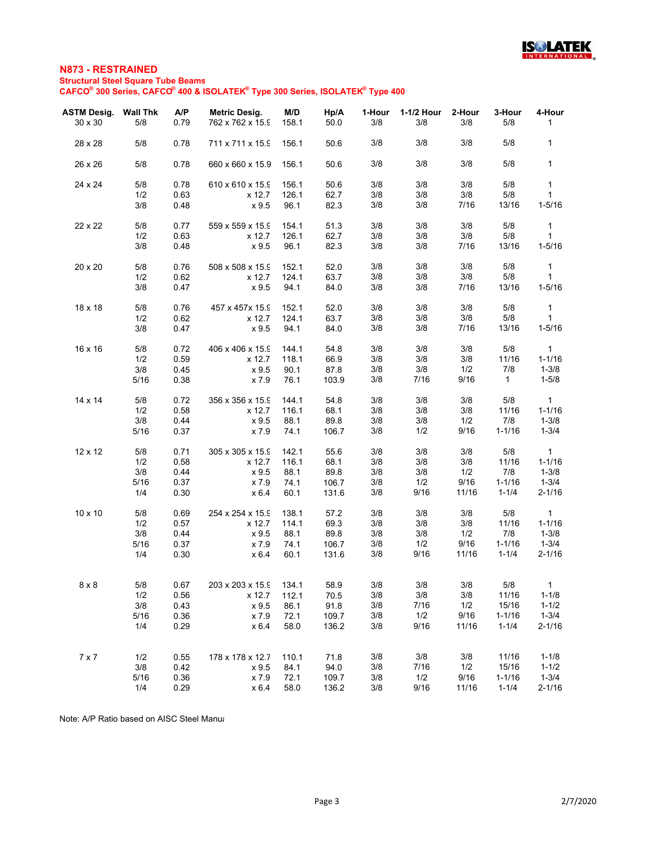

## **N873 - RESTRAINED Structural Steel Square Tube Beams CAFCO® 300 Series, CAFCO® 400 & ISOLATEK® Type 300 Series, ISOLATEK® Type 400**

| <b>ASTM Desig. Wall Thk</b> |            | A/P          | Metric Desig.    | M/D   | Hp/A  | 1-Hour | 1-1/2 Hour  | 2-Hour      | 3-Hour              | 4-Hour                 |
|-----------------------------|------------|--------------|------------------|-------|-------|--------|-------------|-------------|---------------------|------------------------|
| $30 \times 30$              | 5/8        | 0.79         | 762 x 762 x 15.9 | 158.1 | 50.0  | 3/8    | 3/8         | 3/8         | 5/8                 | 1                      |
| 28 x 28                     | 5/8        | 0.78         | 711 x 711 x 15.9 | 156.1 | 50.6  | 3/8    | 3/8         | 3/8         | 5/8                 | 1                      |
| 26 x 26                     | 5/8        | 0.78         | 660 x 660 x 15.9 | 156.1 | 50.6  | 3/8    | 3/8         | 3/8         | 5/8                 | $\mathbf{1}$           |
| 24 x 24                     | 5/8        | 0.78         | 610 x 610 x 15.9 | 156.1 | 50.6  | 3/8    | 3/8         | 3/8         | 5/8                 | $\mathbf{1}$           |
|                             | 1/2        | 0.63         | x 12.7           | 126.1 | 62.7  | 3/8    | 3/8         | 3/8         | 5/8                 | $\mathbf{1}$           |
|                             | 3/8        | 0.48         | x 9.5            | 96.1  | 82.3  | 3/8    | 3/8         | 7/16        | 13/16               | $1 - 5/16$             |
| 22 x 22                     | 5/8        | 0.77         | 559 x 559 x 15.9 | 154.1 | 51.3  | 3/8    | 3/8         | 3/8         | 5/8                 | $\mathbf{1}$           |
|                             | 1/2        | 0.63         | x 12.7           | 126.1 | 62.7  | 3/8    | 3/8         | 3/8         | 5/8                 | $\mathbf{1}$           |
|                             | 3/8        | 0.48         | x 9.5            | 96.1  | 82.3  | 3/8    | 3/8         | 7/16        | 13/16               | $1 - 5/16$             |
| 20 x 20                     | 5/8        | 0.76         | 508 x 508 x 15.9 | 152.1 | 52.0  | 3/8    | 3/8         | 3/8         | 5/8                 | $\mathbf{1}$           |
|                             | 1/2        | 0.62         | x 12.7           | 124.1 | 63.7  | 3/8    | 3/8         | 3/8         | 5/8                 | $\mathbf{1}$           |
|                             | 3/8        | 0.47         | x 9.5            | 94.1  | 84.0  | 3/8    | 3/8         | 7/16        | 13/16               | $1 - 5/16$             |
| 18 x 18                     | 5/8        | 0.76         | 457 x 457x 15.9  | 152.1 | 52.0  | 3/8    | 3/8         | 3/8         | 5/8                 | $\mathbf{1}$           |
|                             | 1/2        | 0.62         | x 12.7           | 124.1 | 63.7  | 3/8    | 3/8         | 3/8         | 5/8                 | $\mathbf{1}$           |
|                             | 3/8        | 0.47         | x 9.5            | 94.1  | 84.0  | 3/8    | 3/8         | 7/16        | 13/16               | $1 - 5/16$             |
| 16 x 16                     | 5/8        | 0.72         | 406 x 406 x 15.9 | 144.1 | 54.8  | 3/8    | 3/8         | 3/8         | 5/8                 | $\mathbf{1}$           |
|                             | 1/2        | 0.59         | x 12.7           | 118.1 | 66.9  | 3/8    | 3/8         | 3/8         | 11/16               | $1 - 1/16$             |
|                             | 3/8        | 0.45         | x 9.5            | 90.1  | 87.8  | 3/8    | 3/8         | 1/2         | 7/8                 | $1 - 3/8$              |
|                             | 5/16       | 0.38         | x 7.9            | 76.1  | 103.9 | 3/8    | 7/16        | 9/16        | $\mathbf{1}$        | $1 - 5/8$              |
| $14 \times 14$              | 5/8        | 0.72         | 356 x 356 x 15.9 | 144.1 | 54.8  | 3/8    | 3/8         | 3/8         | 5/8                 | $\mathbf{1}$           |
|                             | 1/2        | 0.58         | x 12.7           | 116.1 | 68.1  | 3/8    | 3/8         | 3/8         | 11/16               | $1 - 1/16$             |
|                             | 3/8        | 0.44         | x 9.5            | 88.1  | 89.8  | 3/8    | 3/8         | 1/2         | 7/8                 | $1 - 3/8$              |
|                             | 5/16       | 0.37         | x 7.9            | 74.1  | 106.7 | 3/8    | 1/2         | 9/16        | $1 - 1/16$          | $1 - 3/4$              |
| 12 x 12                     | 5/8        | 0.71         | 305 x 305 x 15.9 | 142.1 | 55.6  | 3/8    | 3/8         | 3/8         | 5/8                 | $\mathbf{1}$           |
|                             | 1/2        | 0.58         | x 12.7           | 116.1 | 68.1  | 3/8    | 3/8         | 3/8         | 11/16               | $1 - 1/16$             |
|                             | 3/8        | 0.44         | x 9.5            | 88.1  | 89.8  | 3/8    | 3/8         | 1/2         | 7/8                 | $1 - 3/8$              |
|                             | 5/16       | 0.37         | x 7.9            | 74.1  | 106.7 | 3/8    | 1/2         | 9/16        | $1 - 1/16$          | $1 - 3/4$              |
|                             | 1/4        | 0.30         | x 6.4            | 60.1  | 131.6 | 3/8    | 9/16        | 11/16       | $1 - 1/4$           | $2 - 1/16$             |
| 10 x 10                     | 5/8        | 0.69         | 254 x 254 x 15.9 | 138.1 | 57.2  | 3/8    | 3/8         | 3/8         | 5/8                 | $\mathbf{1}$           |
|                             | 1/2        | 0.57         | x 12.7           | 114.1 | 69.3  | 3/8    | 3/8         | 3/8         | 11/16               | $1 - 1/16$             |
|                             | 3/8        | 0.44         | x 9.5            | 88.1  | 89.8  | 3/8    | 3/8         | 1/2         | 7/8                 | $1 - 3/8$              |
|                             | 5/16       | 0.37         | x 7.9            | 74.1  | 106.7 | 3/8    | 1/2         | 9/16        | $1 - 1/16$          | $1 - 3/4$              |
|                             | 1/4        | 0.30         | x6.4             | 60.1  | 131.6 | 3/8    | 9/16        | 11/16       | $1 - 1/4$           | $2 - 1/16$             |
|                             |            |              |                  |       |       |        |             |             |                     |                        |
| $8\times8$                  | $5/8$      | 0.67         | 203 x 203 x 15.9 | 134.1 | 58.9  | $3/8$  | $3/8$       | $3/8$       | $5/8$               | $\overline{1}$         |
|                             | 1/2        | 0.56         | x 12.7           | 112.1 | 70.5  | 3/8    | 3/8         | 3/8         | 11/16               | $1 - 1/8$              |
|                             | 3/8        | 0.43         | x 9.5            | 86.1  | 91.8  | 3/8    | 7/16<br>1/2 | 1/2<br>9/16 | 15/16<br>$1 - 1/16$ | $1 - 1/2$<br>$1 - 3/4$ |
|                             | 5/16       | 0.36         | x 7.9            | 72.1  | 109.7 | 3/8    |             |             |                     |                        |
|                             | 1/4        | 0.29         | x 6.4            | 58.0  | 136.2 | 3/8    | 9/16        | 11/16       | $1 - 1/4$           | $2 - 1/16$             |
| $7 \times 7$                |            |              | 178 x 178 x 12.7 | 110.1 | 71.8  | 3/8    | $3/8$       | 3/8         | 11/16               | $1 - 1/8$              |
|                             | 1/2<br>3/8 | 0.55<br>0.42 | x 9.5            | 84.1  | 94.0  | 3/8    | 7/16        | 1/2         | 15/16               | $1 - 1/2$              |
|                             | 5/16       | 0.36         | x 7.9            | 72.1  | 109.7 | 3/8    | 1/2         | 9/16        | $1 - 1/16$          | $1 - 3/4$              |
|                             | 1/4        | 0.29         | x 6.4            | 58.0  | 136.2 | 3/8    | 9/16        | 11/16       | $1 - 1/4$           | $2 - 1/16$             |
|                             |            |              |                  |       |       |        |             |             |                     |                        |

Note: A/P Ratio based on AISC Steel Manua